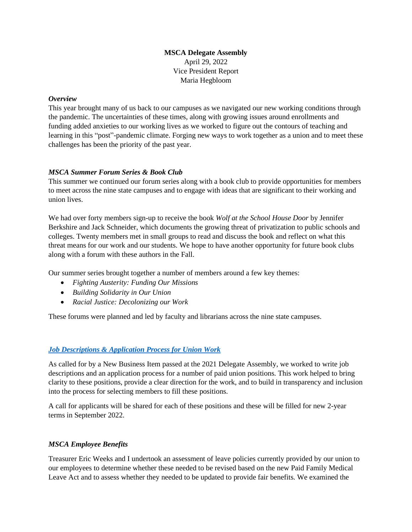# **MSCA Delegate Assembly** April 29, 2022 Vice President Report Maria Hegbloom

### *Overview*

This year brought many of us back to our campuses as we navigated our new working conditions through the pandemic. The uncertainties of these times, along with growing issues around enrollments and funding added anxieties to our working lives as we worked to figure out the contours of teaching and learning in this "post"-pandemic climate. Forging new ways to work together as a union and to meet these challenges has been the priority of the past year.

### *MSCA Summer Forum Series & Book Club*

This summer we continued our forum series along with a book club to provide opportunities for members to meet across the nine state campuses and to engage with ideas that are significant to their working and union lives.

We had over forty members sign-up to receive the book *Wolf at the School House Door* by Jennifer Berkshire and Jack Schneider, which documents the growing threat of privatization to public schools and colleges. Twenty members met in small groups to read and discuss the book and reflect on what this threat means for our work and our students. We hope to have another opportunity for future book clubs along with a forum with these authors in the Fall.

Our summer series brought together a number of members around a few key themes:

- *Fighting Austerity: Funding Our Missions*
- *Building Solidarity in Our Union*
- *Racial Justice: Decolonizing our Work*

These forums were planned and led by faculty and librarians across the nine state campuses.

### *[Job Descriptions & Application Process for Union](https://mscaunion.org/wp-content/uploads/2022/04/MSCA-Position_Job-Description-and-Process-Recommendations.pdf) Work*

As called for by a New Business Item passed at the 2021 Delegate Assembly, we worked to write job descriptions and an application process for a number of paid union positions. This work helped to bring clarity to these positions, provide a clear direction for the work, and to build in transparency and inclusion into the process for selecting members to fill these positions.

A call for applicants will be shared for each of these positions and these will be filled for new 2-year terms in September 2022.

### *MSCA Employee Benefits*

Treasurer Eric Weeks and I undertook an assessment of leave policies currently provided by our union to our employees to determine whether these needed to be revised based on the new Paid Family Medical Leave Act and to assess whether they needed to be updated to provide fair benefits. We examined the